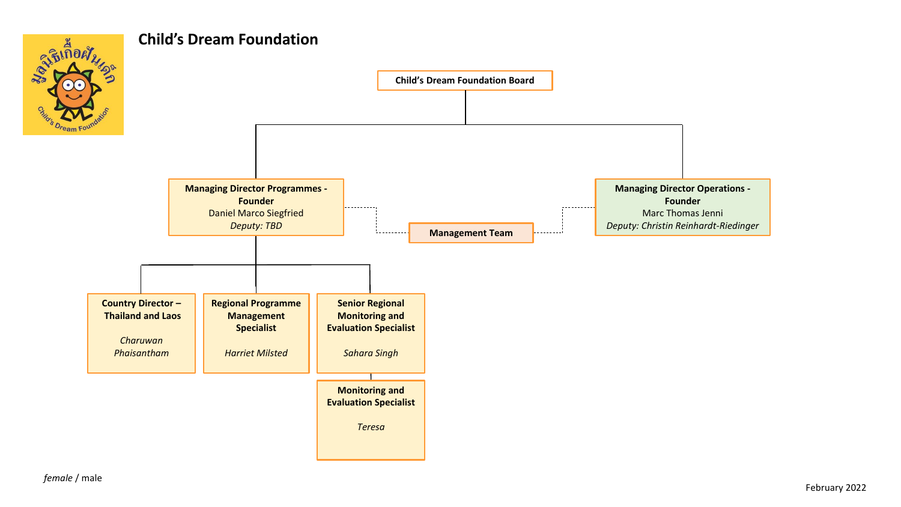

## **Child's Dream Foundation**

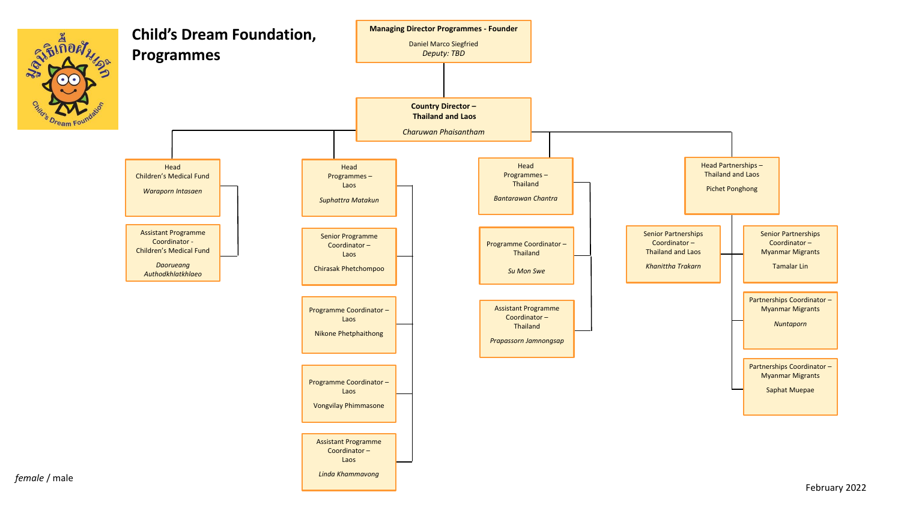